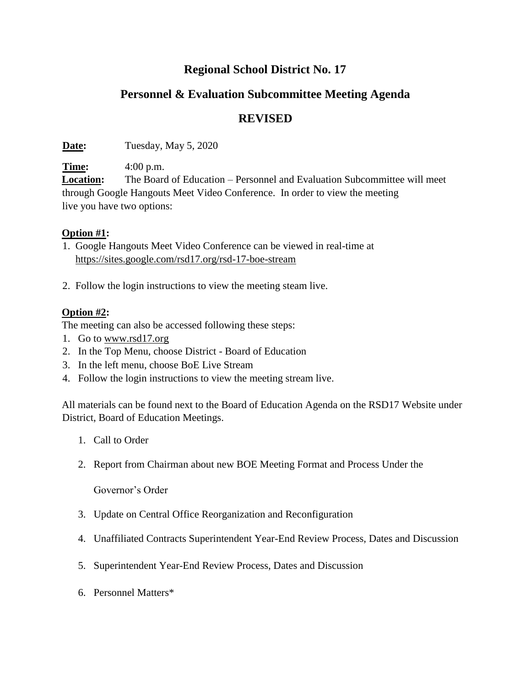## **Regional School District No. 17**

# **Personnel & Evaluation Subcommittee Meeting Agenda**

### **REVISED**

**Date:** Tuesday, May 5, 2020

**Time:** 4:00 p.m.

**Location:** The Board of Education – Personnel and Evaluation Subcommittee will meet through Google Hangouts Meet Video Conference. In order to view the meeting live you have two options:

#### **Option #1:**

- 1. Google Hangouts Meet Video Conference can be viewed in real-time at <https://sites.google.com/rsd17.org/rsd-17-boe-stream>
- 2. Follow the login instructions to view the meeting steam live.

#### **Option #2:**

The meeting can also be accessed following these steps:

- 1. Go t[o](http://www.rsd17.org/) [www.rsd17.org](http://www.rsd17.org/)
- 2. In the Top Menu, choose District Board of Education
- 3. In the left menu, choose BoE Live Stream
- 4. Follow the login instructions to view the meeting stream live.

All materials can be found next to the Board of Education Agenda on the RSD17 Website under District, Board of Education Meetings.

- 1. Call to Order
- 2. Report from Chairman about new BOE Meeting Format and Process Under the

Governor's Order

- 3. Update on Central Office Reorganization and Reconfiguration
- 4. Unaffiliated Contracts Superintendent Year-End Review Process, Dates and Discussion
- 5. Superintendent Year-End Review Process, Dates and Discussion
- 6. Personnel Matters\*